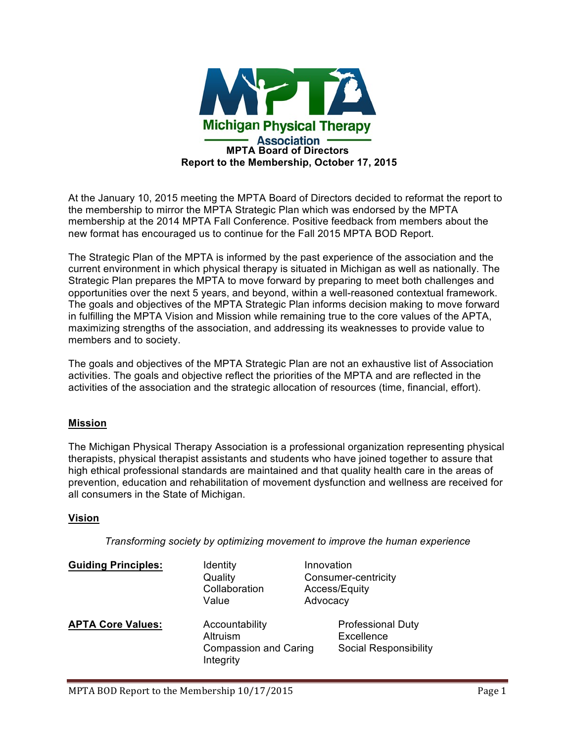

At the January 10, 2015 meeting the MPTA Board of Directors decided to reformat the report to the membership to mirror the MPTA Strategic Plan which was endorsed by the MPTA membership at the 2014 MPTA Fall Conference. Positive feedback from members about the new format has encouraged us to continue for the Fall 2015 MPTA BOD Report.

The Strategic Plan of the MPTA is informed by the past experience of the association and the current environment in which physical therapy is situated in Michigan as well as nationally. The Strategic Plan prepares the MPTA to move forward by preparing to meet both challenges and opportunities over the next 5 years, and beyond, within a well-reasoned contextual framework. The goals and objectives of the MPTA Strategic Plan informs decision making to move forward in fulfilling the MPTA Vision and Mission while remaining true to the core values of the APTA, maximizing strengths of the association, and addressing its weaknesses to provide value to members and to society.

The goals and objectives of the MPTA Strategic Plan are not an exhaustive list of Association activities. The goals and objective reflect the priorities of the MPTA and are reflected in the activities of the association and the strategic allocation of resources (time, financial, effort).

### **Mission**

The Michigan Physical Therapy Association is a professional organization representing physical therapists, physical therapist assistants and students who have joined together to assure that high ethical professional standards are maintained and that quality health care in the areas of prevention, education and rehabilitation of movement dysfunction and wellness are received for all consumers in the State of Michigan.

### **Vision**

*Transforming society by optimizing movement to improve the human experience*

| <b>Guiding Principles:</b> | Identity<br>Quality<br>Collaboration<br>Value                           | Innovation<br>Consumer-centricity<br>Access/Equity<br>Advocacy         |
|----------------------------|-------------------------------------------------------------------------|------------------------------------------------------------------------|
| <b>APTA Core Values:</b>   | Accountability<br>Altruism<br><b>Compassion and Caring</b><br>Integrity | <b>Professional Duty</b><br>Excellence<br><b>Social Responsibility</b> |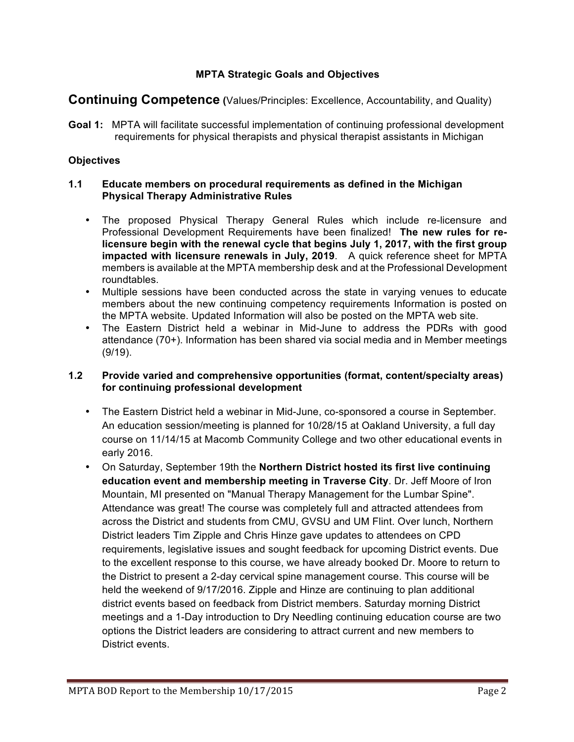## **MPTA Strategic Goals and Objectives**

# **Continuing Competence (**Values/Principles: Excellence, Accountability, and Quality)

**Goal 1:** MPTA will facilitate successful implementation of continuing professional development requirements for physical therapists and physical therapist assistants in Michigan

## **Objectives**

#### **1.1 Educate members on procedural requirements as defined in the Michigan Physical Therapy Administrative Rules**

- The proposed Physical Therapy General Rules which include re-licensure and Professional Development Requirements have been finalized! **The new rules for relicensure begin with the renewal cycle that begins July 1, 2017, with the first group impacted with licensure renewals in July, 2019**. A quick reference sheet for MPTA members is available at the MPTA membership desk and at the Professional Development roundtables.
- Multiple sessions have been conducted across the state in varying venues to educate members about the new continuing competency requirements Information is posted on the MPTA website. Updated Information will also be posted on the MPTA web site.
- The Eastern District held a webinar in Mid-June to address the PDRs with good attendance (70+). Information has been shared via social media and in Member meetings (9/19).

### **1.2 Provide varied and comprehensive opportunities (format, content/specialty areas) for continuing professional development**

- The Eastern District held a webinar in Mid-June, co-sponsored a course in September. An education session/meeting is planned for 10/28/15 at Oakland University, a full day course on 11/14/15 at Macomb Community College and two other educational events in early 2016.
- On Saturday, September 19th the **Northern District hosted its first live continuing education event and membership meeting in Traverse City**. Dr. Jeff Moore of Iron Mountain, MI presented on "Manual Therapy Management for the Lumbar Spine". Attendance was great! The course was completely full and attracted attendees from across the District and students from CMU, GVSU and UM Flint. Over lunch, Northern District leaders Tim Zipple and Chris Hinze gave updates to attendees on CPD requirements, legislative issues and sought feedback for upcoming District events. Due to the excellent response to this course, we have already booked Dr. Moore to return to the District to present a 2-day cervical spine management course. This course will be held the weekend of 9/17/2016. Zipple and Hinze are continuing to plan additional district events based on feedback from District members. Saturday morning District meetings and a 1-Day introduction to Dry Needling continuing education course are two options the District leaders are considering to attract current and new members to District events.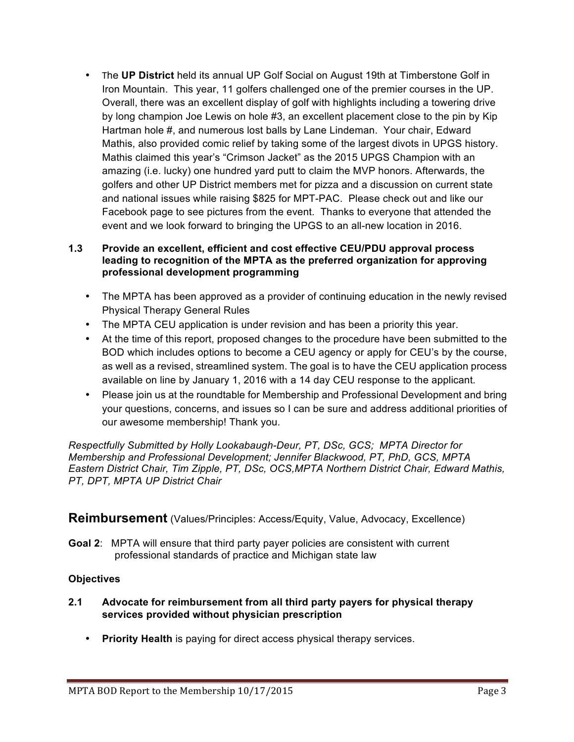• The **UP District** held its annual UP Golf Social on August 19th at Timberstone Golf in Iron Mountain. This year, 11 golfers challenged one of the premier courses in the UP. Overall, there was an excellent display of golf with highlights including a towering drive by long champion Joe Lewis on hole #3, an excellent placement close to the pin by Kip Hartman hole #, and numerous lost balls by Lane Lindeman. Your chair, Edward Mathis, also provided comic relief by taking some of the largest divots in UPGS history. Mathis claimed this year's "Crimson Jacket" as the 2015 UPGS Champion with an amazing (i.e. lucky) one hundred yard putt to claim the MVP honors. Afterwards, the golfers and other UP District members met for pizza and a discussion on current state and national issues while raising \$825 for MPT-PAC. Please check out and like our Facebook page to see pictures from the event. Thanks to everyone that attended the event and we look forward to bringing the UPGS to an all-new location in 2016.

## **1.3 Provide an excellent, efficient and cost effective CEU/PDU approval process leading to recognition of the MPTA as the preferred organization for approving professional development programming**

- The MPTA has been approved as a provider of continuing education in the newly revised Physical Therapy General Rules
- The MPTA CEU application is under revision and has been a priority this year.
- At the time of this report, proposed changes to the procedure have been submitted to the BOD which includes options to become a CEU agency or apply for CEU's by the course, as well as a revised, streamlined system. The goal is to have the CEU application process available on line by January 1, 2016 with a 14 day CEU response to the applicant.
- Please join us at the roundtable for Membership and Professional Development and bring your questions, concerns, and issues so I can be sure and address additional priorities of our awesome membership! Thank you.

*Respectfully Submitted by Holly Lookabaugh-Deur, PT, DSc, GCS; MPTA Director for Membership and Professional Development; Jennifer Blackwood, PT, PhD, GCS, MPTA Eastern District Chair, Tim Zipple, PT, DSc, OCS,MPTA Northern District Chair, Edward Mathis, PT, DPT, MPTA UP District Chair*

## **Reimbursement** (Values/Principles: Access/Equity, Value, Advocacy, Excellence)

**Goal 2**: MPTA will ensure that third party payer policies are consistent with current professional standards of practice and Michigan state law

## **Objectives**

- **2.1 Advocate for reimbursement from all third party payers for physical therapy services provided without physician prescription**
	- **Priority Health** is paying for direct access physical therapy services.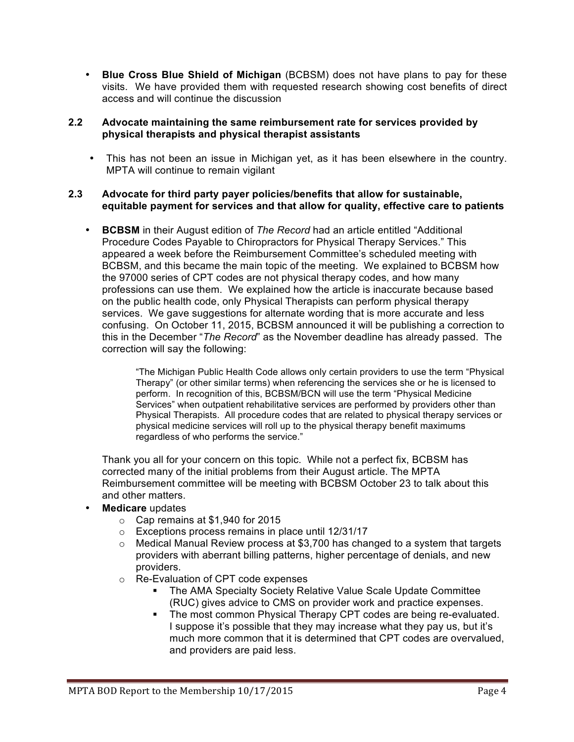• **Blue Cross Blue Shield of Michigan** (BCBSM) does not have plans to pay for these visits. We have provided them with requested research showing cost benefits of direct access and will continue the discussion

#### **2.2 Advocate maintaining the same reimbursement rate for services provided by physical therapists and physical therapist assistants**

• This has not been an issue in Michigan yet, as it has been elsewhere in the country. MPTA will continue to remain vigilant

#### **2.3 Advocate for third party payer policies/benefits that allow for sustainable, equitable payment for services and that allow for quality, effective care to patients**

• **BCBSM** in their August edition of *The Record* had an article entitled "Additional Procedure Codes Payable to Chiropractors for Physical Therapy Services." This appeared a week before the Reimbursement Committee's scheduled meeting with BCBSM, and this became the main topic of the meeting. We explained to BCBSM how the 97000 series of CPT codes are not physical therapy codes, and how many professions can use them. We explained how the article is inaccurate because based on the public health code, only Physical Therapists can perform physical therapy services. We gave suggestions for alternate wording that is more accurate and less confusing. On October 11, 2015, BCBSM announced it will be publishing a correction to this in the December "*The Record*" as the November deadline has already passed. The correction will say the following:

> "The Michigan Public Health Code allows only certain providers to use the term "Physical Therapy" (or other similar terms) when referencing the services she or he is licensed to perform. In recognition of this, BCBSM/BCN will use the term "Physical Medicine Services" when outpatient rehabilitative services are performed by providers other than Physical Therapists. All procedure codes that are related to physical therapy services or physical medicine services will roll up to the physical therapy benefit maximums regardless of who performs the service."

Thank you all for your concern on this topic. While not a perfect fix, BCBSM has corrected many of the initial problems from their August article. The MPTA Reimbursement committee will be meeting with BCBSM October 23 to talk about this and other matters.

- **Medicare** updates
	- o Cap remains at \$1,940 for 2015
	- o Exceptions process remains in place until 12/31/17
	- $\circ$  Medical Manual Review process at \$3,700 has changed to a system that targets providers with aberrant billing patterns, higher percentage of denials, and new providers.
	- o Re-Evaluation of CPT code expenses
		- § The AMA Specialty Society Relative Value Scale Update Committee (RUC) gives advice to CMS on provider work and practice expenses.
		- The most common Physical Therapy CPT codes are being re-evaluated. I suppose it's possible that they may increase what they pay us, but it's much more common that it is determined that CPT codes are overvalued, and providers are paid less.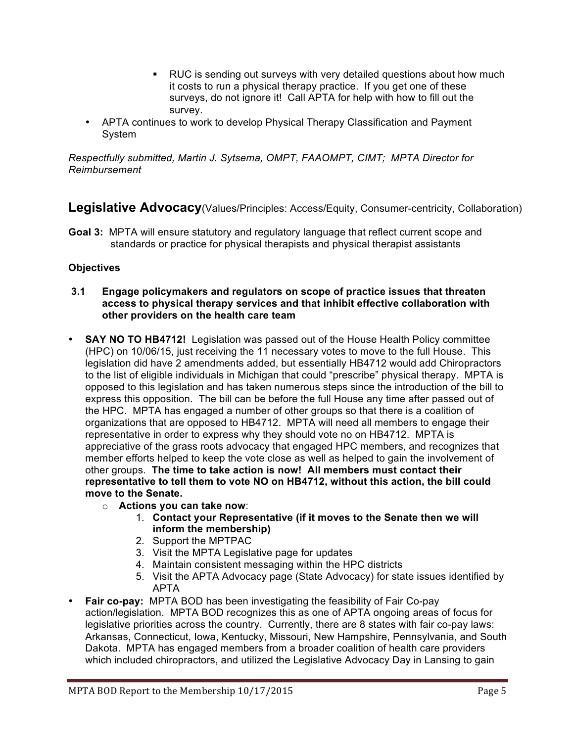- § RUC is sending out surveys with very detailed questions about how much it costs to run a physical therapy practice. If you get one of these surveys, do not ignore it! Call APTA for help with how to fill out the survey.
- APTA continues to work to develop Physical Therapy Classification and Payment System

*Respectfully submitted, Martin J. Sytsema, OMPT, FAAOMPT, CIMT; MPTA Director for Reimbursement*

**Legislative Advocacy**(Values/Principles: Access/Equity, Consumer-centricity, Collaboration)

**Goal 3:** MPTA will ensure statutory and regulatory language that reflect current scope and standards or practice for physical therapists and physical therapist assistants

## **Objectives**

- **3.1 Engage policymakers and regulators on scope of practice issues that threaten access to physical therapy services and that inhibit effective collaboration with other providers on the health care team**
- **SAY NO TO HB4712!** Legislation was passed out of the House Health Policy committee (HPC) on 10/06/15, just receiving the 11 necessary votes to move to the full House. This legislation did have 2 amendments added, but essentially HB4712 would add Chiropractors to the list of eligible individuals in Michigan that could "prescribe" physical therapy. MPTA is opposed to this legislation and has taken numerous steps since the introduction of the bill to express this opposition. The bill can be before the full House any time after passed out of the HPC. MPTA has engaged a number of other groups so that there is a coalition of organizations that are opposed to HB4712. MPTA will need all members to engage their representative in order to express why they should vote no on HB4712. MPTA is appreciative of the grass roots advocacy that engaged HPC members, and recognizes that member efforts helped to keep the vote close as well as helped to gain the involvement of other groups. **The time to take action is now! All members must contact their representative to tell them to vote NO on HB4712, without this action, the bill could move to the Senate.**
	- o **Actions you can take now**:
		- 1. **Contact your Representative (if it moves to the Senate then we will inform the membership)**
		- 2. Support the MPTPAC
		- 3. Visit the MPTA Legislative page for updates
		- 4. Maintain consistent messaging within the HPC districts
		- 5. Visit the APTA Advocacy page (State Advocacy) for state issues identified by APTA
- **Fair co-pay:** MPTA BOD has been investigating the feasibility of Fair Co-pay action/legislation. MPTA BOD recognizes this as one of APTA ongoing areas of focus for legislative priorities across the country. Currently, there are 8 states with fair co-pay laws: Arkansas, Connecticut, Iowa, Kentucky, Missouri, New Hampshire, Pennsylvania, and South Dakota.MPTA has engaged members from a broader coalition of health care providers which included chiropractors, and utilized the Legislative Advocacy Day in Lansing to gain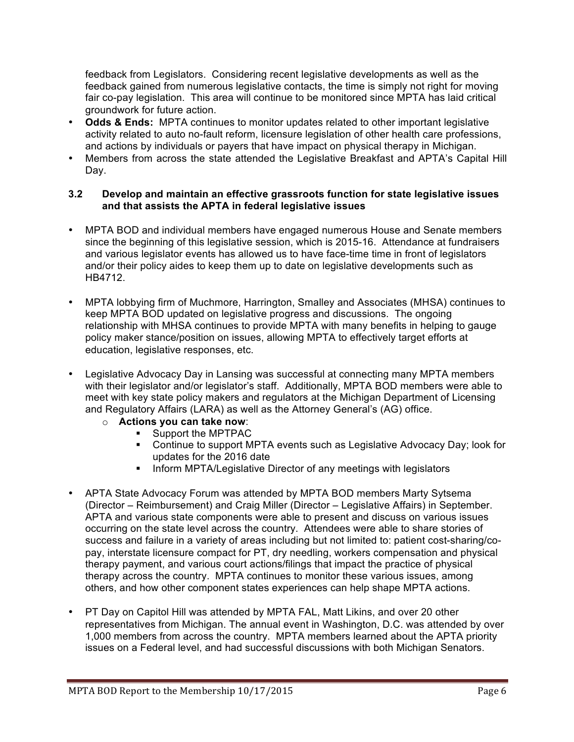feedback from Legislators. Considering recent legislative developments as well as the feedback gained from numerous legislative contacts, the time is simply not right for moving fair co-pay legislation. This area will continue to be monitored since MPTA has laid critical groundwork for future action.

- **Odds & Ends:** MPTA continues to monitor updates related to other important legislative activity related to auto no-fault reform, licensure legislation of other health care professions, and actions by individuals or payers that have impact on physical therapy in Michigan.
- Members from across the state attended the Legislative Breakfast and APTA's Capital Hill Day.

#### **3.2 Develop and maintain an effective grassroots function for state legislative issues and that assists the APTA in federal legislative issues**

- MPTA BOD and individual members have engaged numerous House and Senate members since the beginning of this legislative session, which is 2015-16. Attendance at fundraisers and various legislator events has allowed us to have face-time time in front of legislators and/or their policy aides to keep them up to date on legislative developments such as HB4712.
- MPTA lobbying firm of Muchmore, Harrington, Smalley and Associates (MHSA) continues to keep MPTA BOD updated on legislative progress and discussions. The ongoing relationship with MHSA continues to provide MPTA with many benefits in helping to gauge policy maker stance/position on issues, allowing MPTA to effectively target efforts at education, legislative responses, etc.
- Legislative Advocacy Day in Lansing was successful at connecting many MPTA members with their legislator and/or legislator's staff. Additionally, MPTA BOD members were able to meet with key state policy makers and regulators at the Michigan Department of Licensing and Regulatory Affairs (LARA) as well as the Attorney General's (AG) office.
	- o **Actions you can take now**:
		- Support the MPTPAC
		- Continue to support MPTA events such as Legislative Advocacy Day; look for updates for the 2016 date
		- **Inform MPTA/Legislative Director of any meetings with legislators**
- APTA State Advocacy Forum was attended by MPTA BOD members Marty Sytsema (Director – Reimbursement) and Craig Miller (Director – Legislative Affairs) in September. APTA and various state components were able to present and discuss on various issues occurring on the state level across the country. Attendees were able to share stories of success and failure in a variety of areas including but not limited to: patient cost-sharing/copay, interstate licensure compact for PT, dry needling, workers compensation and physical therapy payment, and various court actions/filings that impact the practice of physical therapy across the country. MPTA continues to monitor these various issues, among others, and how other component states experiences can help shape MPTA actions.
- PT Day on Capitol Hill was attended by MPTA FAL, Matt Likins, and over 20 other representatives from Michigan. The annual event in Washington, D.C. was attended by over 1,000 members from across the country. MPTA members learned about the APTA priority issues on a Federal level, and had successful discussions with both Michigan Senators.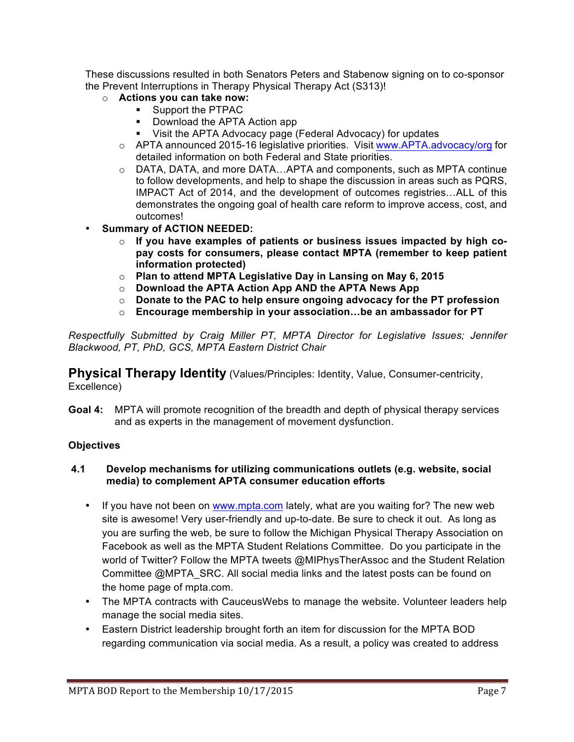These discussions resulted in both Senators Peters and Stabenow signing on to co-sponsor the Prevent Interruptions in Therapy Physical Therapy Act (S313)!

- o **Actions you can take now:**
	- Support the PTPAC
	- Download the APTA Action app
	- Visit the APTA Advocacy page (Federal Advocacy) for updates
	- o APTA announced 2015-16 legislative priorities. Visit www.APTA.advocacy/org for detailed information on both Federal and State priorities.
	- $\circ$  DATA, DATA, and more DATA...APTA and components, such as MPTA continue to follow developments, and help to shape the discussion in areas such as PQRS, IMPACT Act of 2014, and the development of outcomes registries…ALL of this demonstrates the ongoing goal of health care reform to improve access, cost, and outcomes!
- **Summary of ACTION NEEDED:**
	- o **If you have examples of patients or business issues impacted by high copay costs for consumers, please contact MPTA (remember to keep patient information protected)**
	- o **Plan to attend MPTA Legislative Day in Lansing on May 6, 2015**
	- o **Download the APTA Action App AND the APTA News App**
	- o **Donate to the PAC to help ensure ongoing advocacy for the PT profession**
	- o **Encourage membership in your association…be an ambassador for PT**

*Respectfully Submitted by Craig Miller PT, MPTA Director for Legislative Issues; Jennifer Blackwood, PT, PhD, GCS, MPTA Eastern District Chair*

**Physical Therapy Identity** (Values/Principles: Identity, Value, Consumer-centricity, Excellence)

**Goal 4:** MPTA will promote recognition of the breadth and depth of physical therapy services and as experts in the management of movement dysfunction.

### **Objectives**

### **4.1 Develop mechanisms for utilizing communications outlets (e.g. website, social media) to complement APTA consumer education efforts**

- If you have not been on www.mpta.com lately, what are you waiting for? The new web site is awesome! Very user-friendly and up-to-date. Be sure to check it out. As long as you are surfing the web, be sure to follow the Michigan Physical Therapy Association on Facebook as well as the MPTA Student Relations Committee. Do you participate in the world of Twitter? Follow the MPTA tweets @MIPhysTherAssoc and the Student Relation Committee @MPTA\_SRC. All social media links and the latest posts can be found on the home page of mpta.com.
- The MPTA contracts with CauceusWebs to manage the website. Volunteer leaders help manage the social media sites.
- Eastern District leadership brought forth an item for discussion for the MPTA BOD regarding communication via social media. As a result, a policy was created to address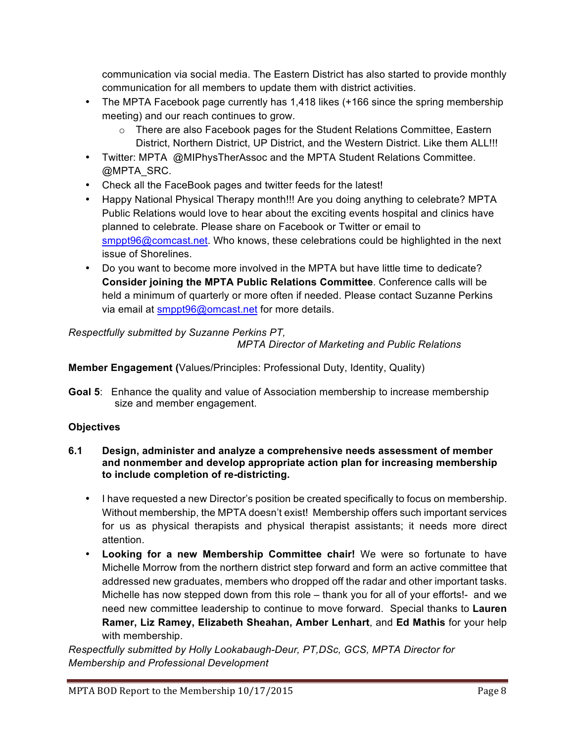communication via social media. The Eastern District has also started to provide monthly communication for all members to update them with district activities.

- The MPTA Facebook page currently has 1,418 likes (+166 since the spring membership meeting) and our reach continues to grow.
	- $\circ$  There are also Facebook pages for the Student Relations Committee, Eastern District, Northern District, UP District, and the Western District. Like them ALL!!!
- Twitter: MPTA @MIPhysTherAssoc and the MPTA Student Relations Committee. @MPTA\_SRC.
- Check all the FaceBook pages and twitter feeds for the latest!
- Happy National Physical Therapy month!!! Are you doing anything to celebrate? MPTA Public Relations would love to hear about the exciting events hospital and clinics have planned to celebrate. Please share on Facebook or Twitter or email to smppt96@comcast.net. Who knows, these celebrations could be highlighted in the next issue of Shorelines.
- Do you want to become more involved in the MPTA but have little time to dedicate? **Consider joining the MPTA Public Relations Committee**. Conference calls will be held a minimum of quarterly or more often if needed. Please contact Suzanne Perkins via email at smppt96@omcast.net for more details.

# *Respectfully submitted by Suzanne Perkins PT,*

*MPTA Director of Marketing and Public Relations*

# **Member Engagement (**Values/Principles: Professional Duty, Identity, Quality)

**Goal 5**: Enhance the quality and value of Association membership to increase membership size and member engagement.

# **Objectives**

- **6.1 Design, administer and analyze a comprehensive needs assessment of member and nonmember and develop appropriate action plan for increasing membership to include completion of re-districting.** 
	- I have requested a new Director's position be created specifically to focus on membership. Without membership, the MPTA doesn't exist! Membership offers such important services for us as physical therapists and physical therapist assistants; it needs more direct attention.
	- **Looking for a new Membership Committee chair!** We were so fortunate to have Michelle Morrow from the northern district step forward and form an active committee that addressed new graduates, members who dropped off the radar and other important tasks. Michelle has now stepped down from this role – thank you for all of your efforts!- and we need new committee leadership to continue to move forward. Special thanks to **Lauren Ramer, Liz Ramey, Elizabeth Sheahan, Amber Lenhart**, and **Ed Mathis** for your help with membership.

*Respectfully submitted by Holly Lookabaugh-Deur, PT,DSc, GCS, MPTA Director for Membership and Professional Development*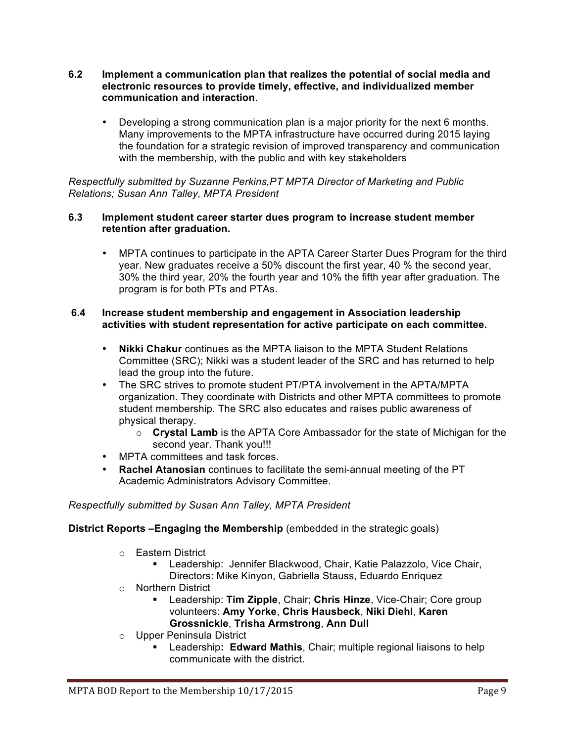- **6.2 Implement a communication plan that realizes the potential of social media and electronic resources to provide timely, effective, and individualized member communication and interaction**.
	- Developing a strong communication plan is a major priority for the next 6 months. Many improvements to the MPTA infrastructure have occurred during 2015 laying the foundation for a strategic revision of improved transparency and communication with the membership, with the public and with key stakeholders

*Respectfully submitted by Suzanne Perkins,PT MPTA Director of Marketing and Public Relations; Susan Ann Talley, MPTA President*

#### **6.3 Implement student career starter dues program to increase student member retention after graduation.**

• MPTA continues to participate in the APTA Career Starter Dues Program for the third year. New graduates receive a 50% discount the first year, 40 % the second year, 30% the third year, 20% the fourth year and 10% the fifth year after graduation. The program is for both PTs and PTAs.

### **6.4 Increase student membership and engagement in Association leadership activities with student representation for active participate on each committee.**

- **Nikki Chakur** continues as the MPTA liaison to the MPTA Student Relations Committee (SRC); Nikki was a student leader of the SRC and has returned to help lead the group into the future.
- The SRC strives to promote student PT/PTA involvement in the APTA/MPTA organization. They coordinate with Districts and other MPTA committees to promote student membership. The SRC also educates and raises public awareness of physical therapy.
	- o **Crystal Lamb** is the APTA Core Ambassador for the state of Michigan for the second year. Thank you!!!
- MPTA committees and task forces.
- **Rachel Atanosian** continues to facilitate the semi-annual meeting of the PT Academic Administrators Advisory Committee.

## *Respectfully submitted by Susan Ann Talley, MPTA President*

**District Reports –Engaging the Membership** (embedded in the strategic goals)

- o Eastern District
	- Leadership: Jennifer Blackwood, Chair, Katie Palazzolo, Vice Chair, Directors: Mike Kinyon, Gabriella Stauss, Eduardo Enriquez
- o Northern District
	- § Leadership: **Tim Zipple**, Chair; **Chris Hinze**, Vice-Chair; Core group volunteers: **Amy Yorke**, **Chris Hausbeck**, **Niki Diehl**, **Karen Grossnickle**, **Trisha Armstrong**, **Ann Dull**
- o Upper Peninsula District
	- § Leadership**: Edward Mathis**, Chair; multiple regional liaisons to help communicate with the district.